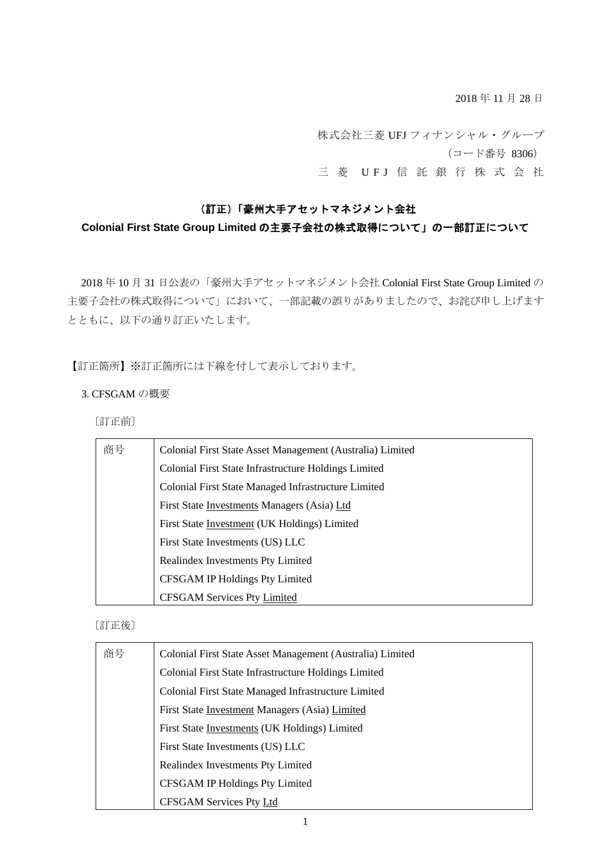2018 年 11 月 28 日

株式会社三菱 UFJ フィナンシャル・グループ (コード番号 8306) 三 菱 UFJ 信 託 銀 行 株 式 会 社

## (訂正)「豪州大手アセットマネジメント会社

# **Colonial First State Group Limited** の主要子会社の株式取得について」の一部訂正について

2018 年 10 月 31 日公表の「豪州大手アセットマネジメント会社 Colonial First State Group Limited の 主要子会社の株式取得について」において、一部記載の誤りがありましたので、お詫び申し上げます とともに、以下の通り訂正いたします。

【訂正箇所】※訂正箇所には下線を付して表示しております。

### 3. CFSGAM の概要

〔訂正前〕

| 商号 | Colonial First State Asset Management (Australia) Limited |
|----|-----------------------------------------------------------|
|    | Colonial First State Infrastructure Holdings Limited      |
|    | Colonial First State Managed Infrastructure Limited       |
|    | First State Investments Managers (Asia) Ltd               |
|    | First State Investment (UK Holdings) Limited              |
|    | First State Investments (US) LLC                          |
|    | Realindex Investments Pty Limited                         |
|    | <b>CFSGAM IP Holdings Pty Limited</b>                     |
|    | <b>CFSGAM Services Pty Limited</b>                        |

### 〔訂正後〕

| 商号 | Colonial First State Asset Management (Australia) Limited |
|----|-----------------------------------------------------------|
|    | Colonial First State Infrastructure Holdings Limited      |
|    | Colonial First State Managed Infrastructure Limited       |
|    | First State Investment Managers (Asia) Limited            |
|    | First State Investments (UK Holdings) Limited             |
|    | First State Investments (US) LLC                          |
|    | Realindex Investments Pty Limited                         |
|    | CFSGAM IP Holdings Pty Limited                            |
|    | <b>CFSGAM Services Pty Ltd</b>                            |